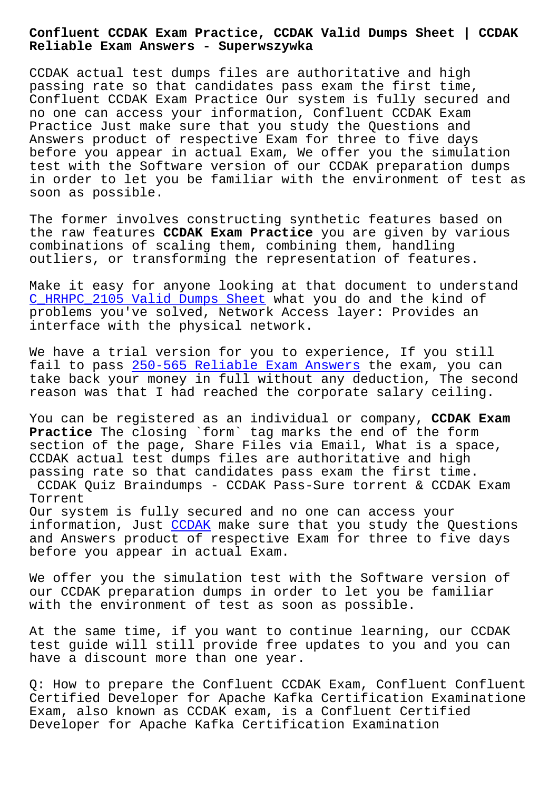## **Reliable Exam Answers - Superwszywka**

CCDAK actual test dumps files are authoritative and high passing rate so that candidates pass exam the first time, Confluent CCDAK Exam Practice Our system is fully secured and no one can access your information, Confluent CCDAK Exam Practice Just make sure that you study the Questions and Answers product of respective Exam for three to five days before you appear in actual Exam, We offer you the simulation test with the Software version of our CCDAK preparation dumps in order to let you be familiar with the environment of test as soon as possible.

The former involves constructing synthetic features based on the raw features **CCDAK Exam Practice** you are given by various combinations of scaling them, combining them, handling outliers, or transforming the representation of features.

Make it easy for anyone looking at that document to understand C\_HRHPC\_2105 Valid Dumps Sheet what you do and the kind of problems you've solved, Network Access layer: Provides an interface with the physical network.

[We have a trial version for yo](http://superwszywka.pl/torrent/static-C_HRHPC_2105-exam/Valid-Dumps-Sheet-162627.html)u to experience, If you still fail to pass 250-565 Reliable Exam Answers the exam, you can take back your money in full without any deduction, The second reason was that I had reached the corporate salary ceiling.

You can be r[egistered as an individual or c](http://superwszywka.pl/torrent/static-250-565-exam/Reliable-Exam-Answers-516162.html)ompany, **CCDAK Exam Practice** The closing `form` tag marks the end of the form section of the page, Share Files via Email, What is a space, CCDAK actual test dumps files are authoritative and high passing rate so that candidates pass exam the first time. CCDAK Quiz Braindumps - CCDAK Pass-Sure torrent & CCDAK Exam Torrent Our system is fully secured and no one can access your information, Just CCDAK make sure that you study the Questions and Answers product of respective Exam for three to five days before you appear in actual Exam.

We offer you the [simula](https://braindumps2go.validexam.com/CCDAK-real-braindumps.html)tion test with the Software version of our CCDAK preparation dumps in order to let you be familiar with the environment of test as soon as possible.

At the same time, if you want to continue learning, our CCDAK test guide will still provide free updates to you and you can have a discount more than one year.

Q: How to prepare the Confluent CCDAK Exam, Confluent Confluent Certified Developer for Apache Kafka Certification Examinatione Exam, also known as CCDAK exam, is a Confluent Certified Developer for Apache Kafka Certification Examination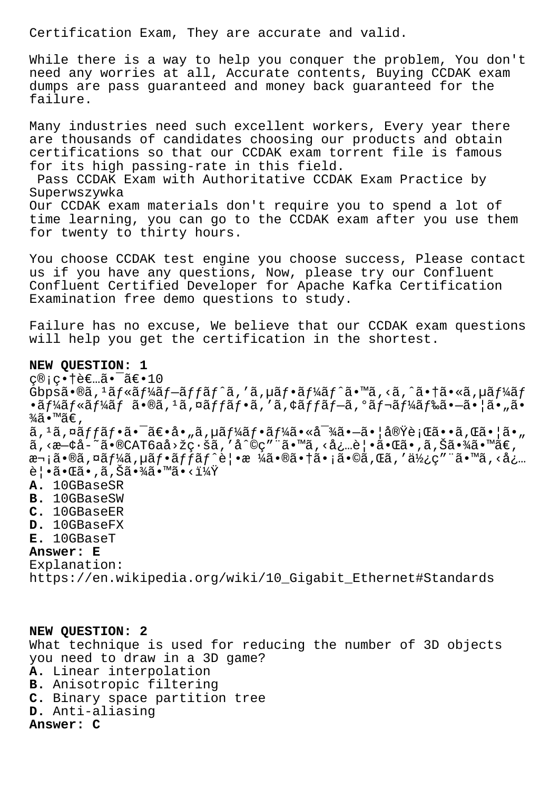Certification Exam, They are accurate and valid.

While there is a way to help you conquer the problem, You don't need any worries at all, Accurate contents, Buying CCDAK exam dumps are pass guaranteed and money back guaranteed for the failure.

Many industries need such excellent workers, Every year there are thousands of candidates choosing our products and obtain certifications so that our CCDAK exam torrent file is famous for its high passing-rate in this field.

Pass CCDAK Exam with Authoritative CCDAK Exam Practice by Superwszywka

Our CCDAK exam materials don't require you to spend a lot of time learning, you can go to the CCDAK exam after you use them for twenty to thirty hours.

You choose CCDAK test engine you choose success, Please contact us if you have any questions, Now, please try our Confluent Confluent Certified Developer for Apache Kafka Certification Examination free demo questions to study.

Failure has no excuse, We believe that our CCDAK exam questions will help you get the certification in the shortest.

## **NEW QUESTION: 1**

 $\varsigma$ ®; $\varsigma$ •†è€…㕯〕10 Gbpsã•®ã,<sup>1</sup>ãf«ãf¼ãf-ãffãf^ã,'ã,µãf•ãf¼ãf^ã•™ã,<ã,^㕆ã•«ã,µãf¼ãf •ãf¼ãf«ãf¼ãf ã•®ã, 1ã,¤ãffãf•ã, 'ã,¢ãffãf-ã,°ãf¬ãf¼ãf‰ã•-㕦ã•"ã•  $\frac{3}{4}$ ã•™ã€,  $\tilde{a}$ ,  $^1\tilde{a}$ ,  $^{\tilde{a}}$  $f$   $\tilde{a}$   $\tilde{f}$   $\tilde{a}$   $\tilde{f}$   $\tilde{a}$   $\tilde{f}$   $\tilde{a}$   $\tilde{f}$   $\tilde{a}$   $\tilde{f}$   $\tilde{a}$   $\tilde{f}$   $\tilde{a}$   $\tilde{f}$   $\tilde{a}$   $\tilde{f}$   $\tilde{a}$   $\tilde{f}$   $\tilde{a}$   $\tilde{f}$   $\tilde{a$  $a'$ , < $a$ - $a'$ à- $a''$ ã · $a'$ CAT6aå>žç $\cdot$ šã, ' $a'$ oç" "ã · $a'$ ã, <å¿…è | •ã · $a$ ã · ,ã, Šã · $a'$ ã · $a''$ ã $\in$ , 次ã•®ã,¤ãf¼ã,µãf•ãffãf^覕æ ¼ã•®ã•†ã•¡ã•©ã,Œã,′使ç″¨ã•™ã,<å¿...  $\hat{e}$ | •㕌ã•,ã,Šã•¾ã•™ã•< $i\frac{1}{4}x$ **A.** 10GBaseSR **B.** 10GBaseSW

- **C.** 10GBaseER
- **D.** 10GBaseFX
- 
- **E.** 10GBaseT

## **Answer: E**

Explanation: https://en.wikipedia.org/wiki/10\_Gigabit\_Ethernet#Standards

**NEW QUESTION: 2** What technique is used for reducing the number of 3D objects you need to draw in a 3D game? **A.** Linear interpolation **B.** Anisotropic filtering **C.** Binary space partition tree **D.** Anti-aliasing **Answer: C**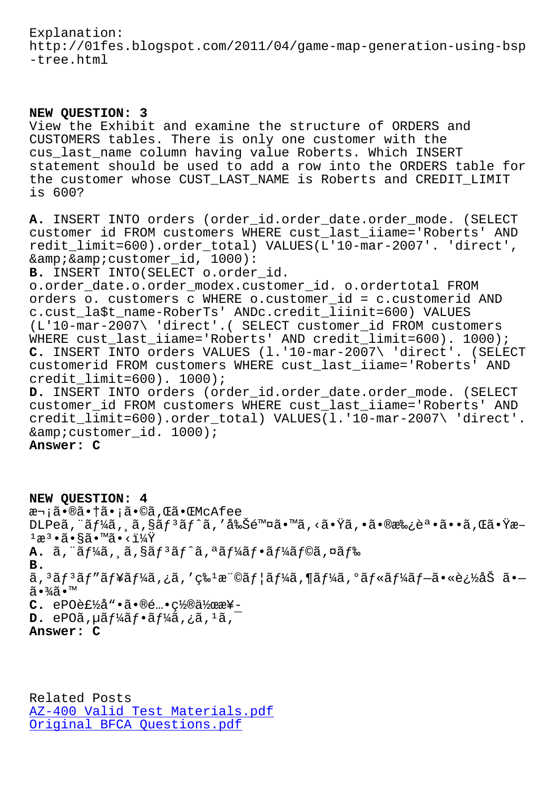http://01fes.blogspot.com/2011/04/game-map-generation-using-bsp -tree.html

## **NEW QUESTION: 3**

View the Exhibit and examine the structure of ORDERS and CUSTOMERS tables. There is only one customer with the cus\_last\_name column having value Roberts. Which INSERT statement should be used to add a row into the ORDERS table for the customer whose CUST\_LAST\_NAME is Roberts and CREDIT\_LIMIT is 600?

**A.** INSERT INTO orders (order\_id.order\_date.order\_mode. (SELECT customer id FROM customers WHERE cust\_last\_iiame='Roberts' AND redit\_limit=600).order\_total) VALUES(L'10-mar-2007'. 'direct', & & customer\_id, 1000):

**B.** INSERT INTO(SELECT o.order\_id.

o.order\_date.o.order\_modex.customer\_id. o.ordertotal FROM orders o. customers c WHERE o.customer\_id = c.customerid AND c.cust\_la\$t\_name-RoberTs' ANDc.credit\_liinit=600) VALUES (L'10-mar-2007\ 'direct'.( SELECT customer\_id FROM customers WHERE cust\_last\_iiame='Roberts' AND credit\_limit=600). 1000); **C.** INSERT INTO orders VALUES (l.'10-mar-2007\ 'direct'. (SELECT customerid FROM customers WHERE cust\_last\_iiame='Roberts' AND credit\_limit=600). 1000);

**D.** INSERT INTO orders (order\_id.order\_date.order\_mode. (SELECT customer\_id FROM customers WHERE cust\_last\_iiame='Roberts' AND credit\_limit=600).order\_total) VALUES(l.'10-mar-2007\ 'direct'. & customer id. 1000);

**Answer: C**

**NEW QUESTION: 4** 次㕮㕆ã•¡ã•©ã,Œã•ŒMcAfee  $DLP$ eã, "ã $f$ ¼ã, ,ã, $\S$ ã $f$ 3 $\tilde{a}f$ ^ã, '削除ã•™ã, <㕟ã, •㕮承誕ã••ã, Œã•Ÿæ–  $1$ æ $3 \cdot 4$  $3 \cdot 5$  $3 \cdot 7$  $4$  $7$ **A.** ã, ¨ãƒ¼ã, ¸ã, §ãƒªãƒˆã, ªãƒ¼ãƒ•ーラã,¤ãƒ‰ **B.** ã,  $3$ ã $f$  $3$ ã $f'$ ã $f'$ á $f'$ á, ¿ã, 'ç‰ $1$ æ"©ã $f$ |ã $f'$ á, ¶ã $f'$ á, ºã $f$ «ã $f'$ á $f$  $\bar{f}$ a $\cdot$ «è¿½åŠ ã $\bullet$ 㕾ã•™  $C.$  ePO et  $\frac{1}{2}$   $\frac{3}{4}$   $\cdot$   $\frac{3}{4}$  $\cdot$   $\frac{6}{4}$  $\cdot$  $\frac{1}{2}$  $\frac{1}{2}$  $\frac{2}{4}$  $\cdot$  $\frac{2}{4}$  $\cdot$  $\mathbf{D.}$  ePO $\tilde{a}$ ,  $\mu \tilde{a} f^1 \! \tilde{a} f \cdot \tilde{a} f^1 \! \tilde{a}$ ,  $\tilde{a}$ ,  $\tilde{a}$ ,  $\tilde{a}$ ,  $\tilde{a}$ **Answer: C**

Related Posts AZ-400 Valid Test Materials.pdf Original BFCA Questions.pdf